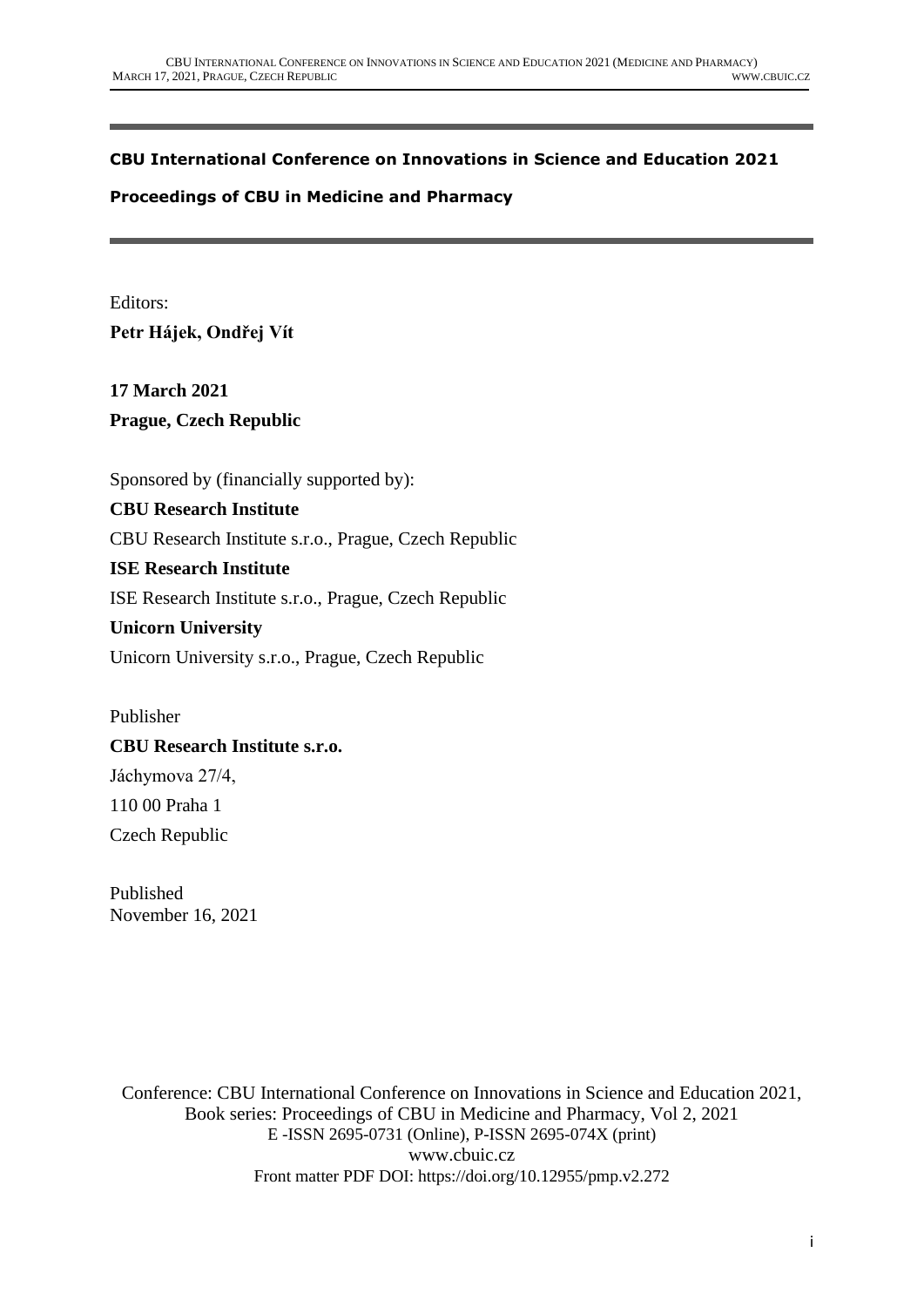## **CBU International Conference on Innovations in Science and Education 2021**

### **Proceedings of CBU in Medicine and Pharmacy**

Editors: **Petr Hájek, Ondřej Vít**

**17 March 2021 Prague, Czech Republic**

Sponsored by (financially supported by):

## **CBU Research Institute**

CBU Research Institute s.r.o., Prague, Czech Republic

## **ISE Research Institute**

ISE Research Institute s.r.o., Prague, Czech Republic

### **Unicorn University**

Unicorn University s.r.o., Prague, Czech Republic

Publisher **CBU Research Institute s.r.o.** Jáchymova 27/4, 110 00 Praha 1 Czech Republic

Published November 16, 2021

Conference: CBU International Conference on Innovations in Science and Education 2021, Book series: Proceedings of CBU in Medicine and Pharmacy, Vol 2, 2021 E -ISSN 2695-0731 (Online), P-ISSN 2695-074X (print) www.cbuic.cz Front matter PDF DOI: https://doi.org/10.12955/pmp.v2.272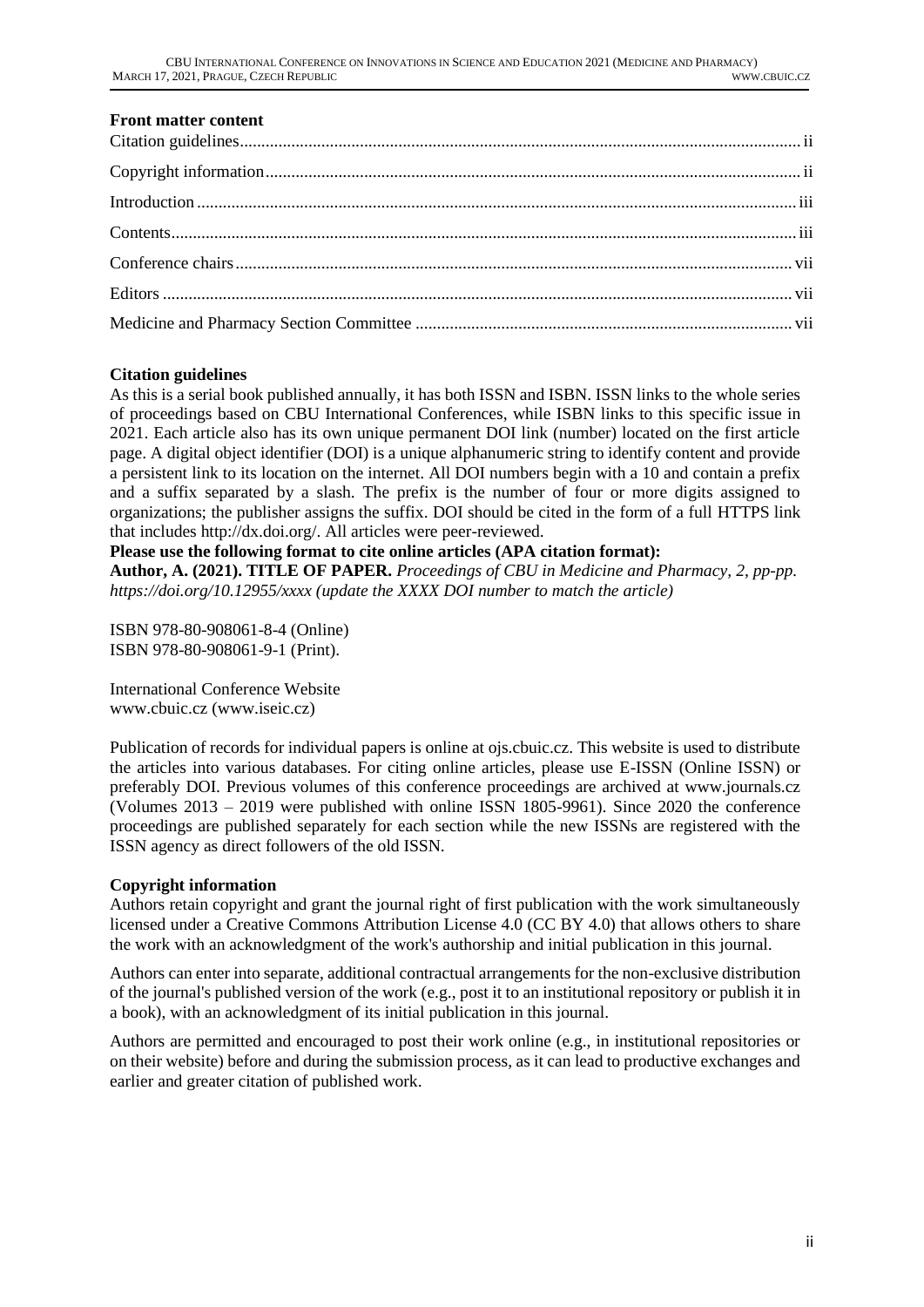## **Front matter content**

### <span id="page-1-0"></span>**Citation guidelines**

As this is a serial book published annually, it has both ISSN and ISBN. ISSN links to the whole series of proceedings based on CBU International Conferences, while ISBN links to this specific issue in 2021. Each article also has its own unique permanent DOI link (number) located on the first article page. A digital object identifier (DOI) is a unique alphanumeric string to identify content and provide a persistent link to its location on the internet. All DOI numbers begin with a 10 and contain a prefix and a suffix separated by a slash. The prefix is the number of four or more digits assigned to organizations; the publisher assigns the suffix. DOI should be cited in the form of a full HTTPS link that includes http://dx.doi.org/. All articles were peer-reviewed.

### **Please use the following format to cite online articles (APA citation format):**

**Author, A. (2021). TITLE OF PAPER.** *Proceedings of CBU in Medicine and Pharmacy, 2, pp-pp. https://doi.org/10.12955/xxxx (update the XXXX DOI number to match the article)*

ISBN 978-80-908061-8-4 (Online) ISBN 978-80-908061-9-1 (Print).

International Conference Website www.cbuic.cz (www.iseic.cz)

Publication of records for individual papers is online at ojs.cbuic.cz. This website is used to distribute the articles into various databases. For citing online articles, please use E-ISSN (Online ISSN) or preferably DOI. Previous volumes of this conference proceedings are archived at www.journals.cz (Volumes 2013 – 2019 were published with online ISSN 1805-9961). Since 2020 the conference proceedings are published separately for each section while the new ISSNs are registered with the ISSN agency as direct followers of the old ISSN.

### <span id="page-1-1"></span>**Copyright information**

Authors retain copyright and grant the journal right of first publication with the work simultaneously licensed under a Creative Commons Attribution License 4.0 (CC BY 4.0) that allows others to share the work with an acknowledgment of the work's authorship and initial publication in this journal.

Authors can enter into separate, additional contractual arrangements for the non-exclusive distribution of the journal's published version of the work (e.g., post it to an institutional repository or publish it in a book), with an acknowledgment of its initial publication in this journal.

Authors are permitted and encouraged to post their work online (e.g., in institutional repositories or on their website) before and during the submission process, as it can lead to productive exchanges and earlier and greater citation of published work.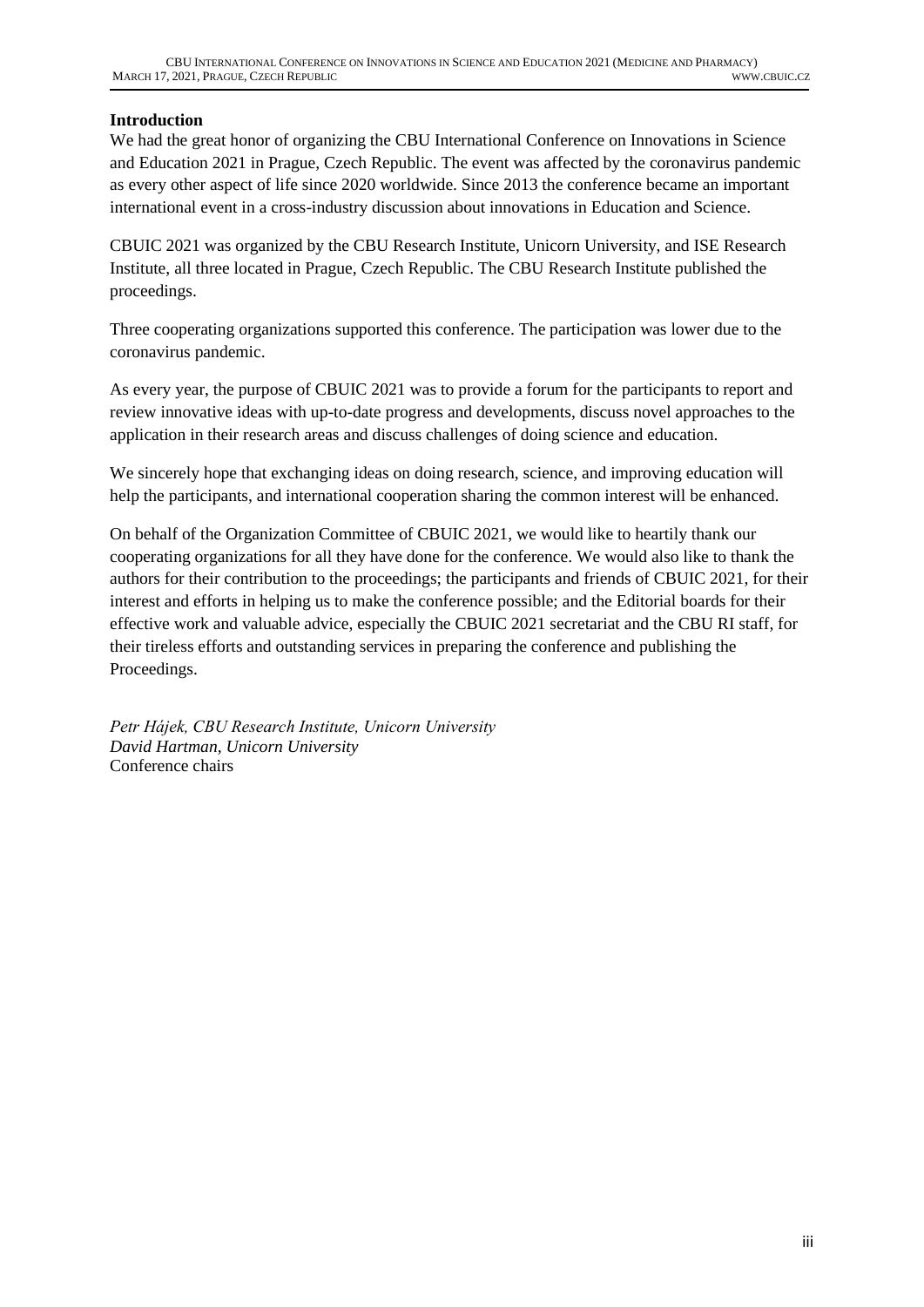## <span id="page-2-0"></span>**Introduction**

<span id="page-2-1"></span>We had the great honor of organizing the CBU International Conference on Innovations in Science and Education 2021 in Prague, Czech Republic. The event was affected by the coronavirus pandemic as every other aspect of life since 2020 worldwide. Since 2013 the conference became an important international event in a cross-industry discussion about innovations in Education and Science.

CBUIC 2021 was organized by the CBU Research Institute, Unicorn University, and ISE Research Institute, all three located in Prague, Czech Republic. The CBU Research Institute published the proceedings.

Three cooperating organizations supported this conference. The participation was lower due to the coronavirus pandemic.

As every year, the purpose of CBUIC 2021 was to provide a forum for the participants to report and review innovative ideas with up-to-date progress and developments, discuss novel approaches to the application in their research areas and discuss challenges of doing science and education.

We sincerely hope that exchanging ideas on doing research, science, and improving education will help the participants, and international cooperation sharing the common interest will be enhanced.

On behalf of the Organization Committee of CBUIC 2021, we would like to heartily thank our cooperating organizations for all they have done for the conference. We would also like to thank the authors for their contribution to the proceedings; the participants and friends of CBUIC 2021, for their interest and efforts in helping us to make the conference possible; and the Editorial boards for their effective work and valuable advice, especially the CBUIC 2021 secretariat and the CBU RI staff, for their tireless efforts and outstanding services in preparing the conference and publishing the Proceedings.

*Petr Hájek, CBU Research Institute, Unicorn University David Hartman, Unicorn University* Conference chairs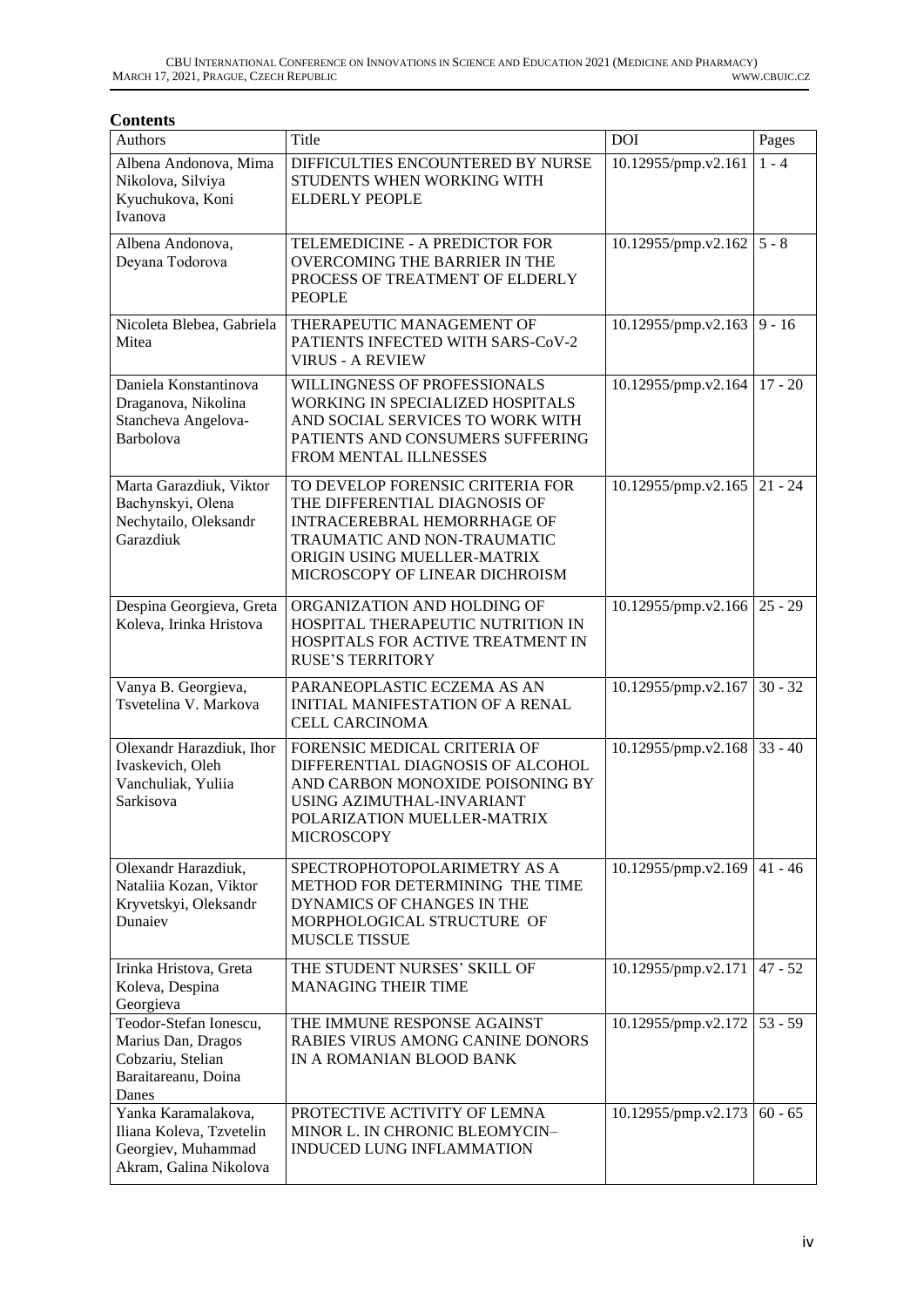#### **Contents**

| Authors                                                                                           | Title                                                                                                                                                                                                   | <b>DOI</b>          | Pages     |
|---------------------------------------------------------------------------------------------------|---------------------------------------------------------------------------------------------------------------------------------------------------------------------------------------------------------|---------------------|-----------|
| Albena Andonova, Mima<br>Nikolova, Silviya<br>Kyuchukova, Koni<br>Ivanova                         | DIFFICULTIES ENCOUNTERED BY NURSE<br>STUDENTS WHEN WORKING WITH<br><b>ELDERLY PEOPLE</b>                                                                                                                | 10.12955/pmp.v2.161 | $1 - 4$   |
| Albena Andonova,<br>Deyana Todorova                                                               | TELEMEDICINE - A PREDICTOR FOR<br><b>OVERCOMING THE BARRIER IN THE</b><br>PROCESS OF TREATMENT OF ELDERLY<br><b>PEOPLE</b>                                                                              | 10.12955/pmp.v2.162 | $5 - 8$   |
| Nicoleta Blebea, Gabriela<br>Mitea                                                                | THERAPEUTIC MANAGEMENT OF<br>PATIENTS INFECTED WITH SARS-CoV-2<br><b>VIRUS - A REVIEW</b>                                                                                                               | 10.12955/pmp.v2.163 | $9 - 16$  |
| Daniela Konstantinova<br>Draganova, Nikolina<br>Stancheva Angelova-<br>Barbolova                  | WILLINGNESS OF PROFESSIONALS<br>WORKING IN SPECIALIZED HOSPITALS<br>AND SOCIAL SERVICES TO WORK WITH<br>PATIENTS AND CONSUMERS SUFFERING<br>FROM MENTAL ILLNESSES                                       | 10.12955/pmp.v2.164 | $17 - 20$ |
| Marta Garazdiuk, Viktor<br>Bachynskyi, Olena<br>Nechytailo, Oleksandr<br>Garazdiuk                | TO DEVELOP FORENSIC CRITERIA FOR<br>THE DIFFERENTIAL DIAGNOSIS OF<br><b>INTRACEREBRAL HEMORRHAGE OF</b><br>TRAUMATIC AND NON-TRAUMATIC<br>ORIGIN USING MUELLER-MATRIX<br>MICROSCOPY OF LINEAR DICHROISM | 10.12955/pmp.v2.165 | $21 - 24$ |
| Despina Georgieva, Greta<br>Koleva, Irinka Hristova                                               | ORGANIZATION AND HOLDING OF<br>HOSPITAL THERAPEUTIC NUTRITION IN<br>HOSPITALS FOR ACTIVE TREATMENT IN<br><b>RUSE'S TERRITORY</b>                                                                        | 10.12955/pmp.v2.166 | $25 - 29$ |
| Vanya B. Georgieva,<br>Tsvetelina V. Markova                                                      | PARANEOPLASTIC ECZEMA AS AN<br><b>INITIAL MANIFESTATION OF A RENAL</b><br><b>CELL CARCINOMA</b>                                                                                                         | 10.12955/pmp.v2.167 | $30 - 32$ |
| Olexandr Harazdiuk, Ihor<br>Ivaskevich, Oleh<br>Vanchuliak, Yuliia<br>Sarkisova                   | FORENSIC MEDICAL CRITERIA OF<br>DIFFERENTIAL DIAGNOSIS OF ALCOHOL<br>AND CARBON MONOXIDE POISONING BY<br>USING AZIMUTHAL-INVARIANT<br>POLARIZATION MUELLER-MATRIX<br><b>MICROSCOPY</b>                  | 10.12955/pmp.v2.168 | $33 - 40$ |
| Olexandr Harazdiuk,<br>Nataliia Kozan, Viktor<br>Kryvetskyi, Oleksandr<br>Dunaiev                 | SPECTROPHOTOPOLARIMETRY AS A<br>METHOD FOR DETERMINING THE TIME<br>DYNAMICS OF CHANGES IN THE<br>MORPHOLOGICAL STRUCTURE OF<br>MUSCLE TISSUE                                                            | 10.12955/pmp.v2.169 | $41 - 46$ |
| Irinka Hristova, Greta<br>Koleva, Despina<br>Georgieva                                            | THE STUDENT NURSES' SKILL OF<br><b>MANAGING THEIR TIME</b>                                                                                                                                              | 10.12955/pmp.v2.171 | $47 - 52$ |
| Teodor-Stefan Ionescu,<br>Marius Dan, Dragos<br>Cobzariu, Stelian<br>Baraitareanu, Doina<br>Danes | THE IMMUNE RESPONSE AGAINST<br>RABIES VIRUS AMONG CANINE DONORS<br>IN A ROMANIAN BLOOD BANK                                                                                                             | 10.12955/pmp.v2.172 | $53 - 59$ |
| Yanka Karamalakova,<br>Iliana Koleva, Tzvetelin<br>Georgiev, Muhammad<br>Akram, Galina Nikolova   | PROTECTIVE ACTIVITY OF LEMNA<br>MINOR L. IN CHRONIC BLEOMYCIN-<br>INDUCED LUNG INFLAMMATION                                                                                                             | 10.12955/pmp.v2.173 | $60 - 65$ |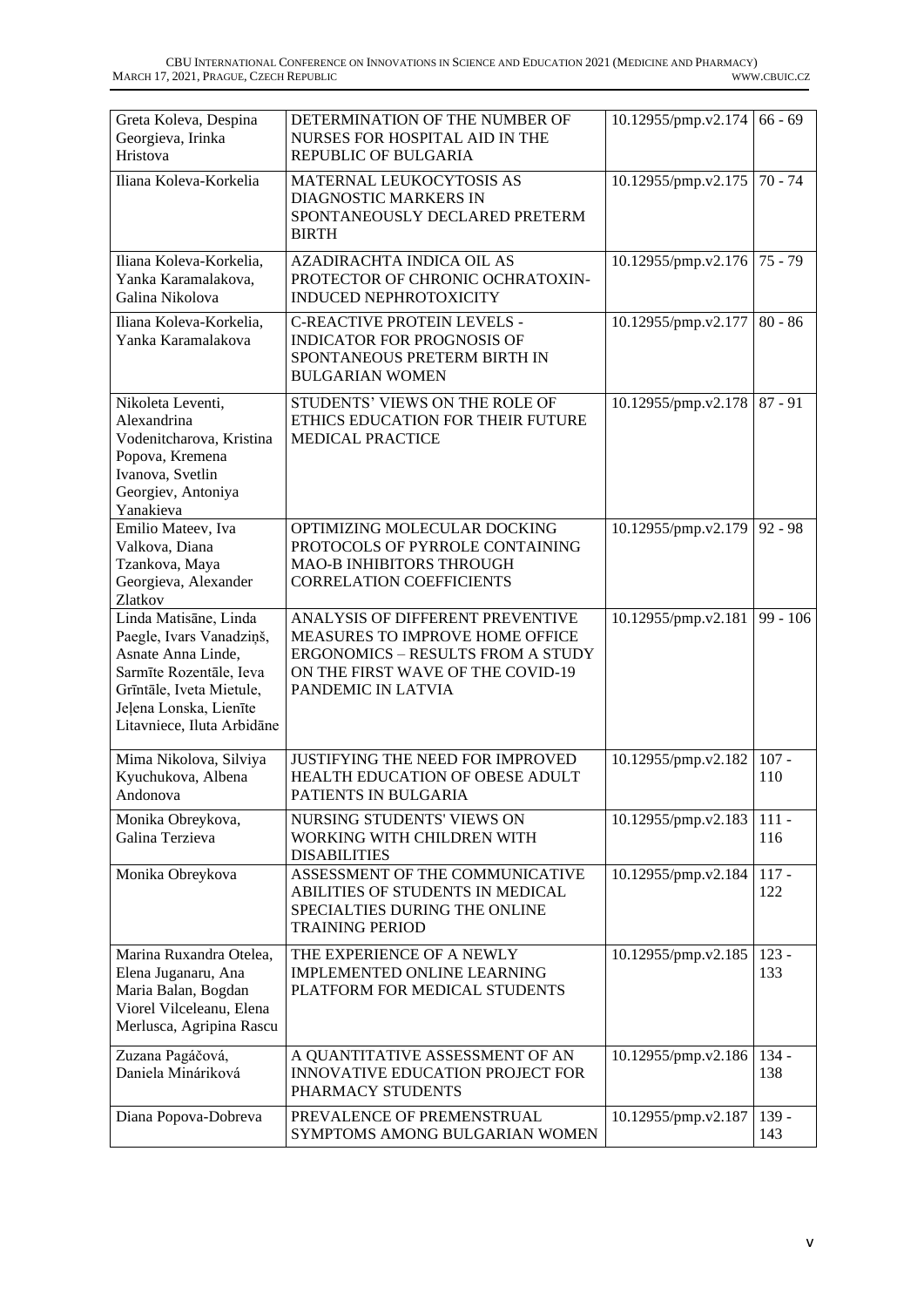| Greta Koleva, Despina<br>Georgieva, Irinka<br>Hristova                                                                                                                                 | DETERMINATION OF THE NUMBER OF<br>NURSES FOR HOSPITAL AID IN THE<br>REPUBLIC OF BULGARIA                                                                                   | 10.12955/pmp.v2.174            | $66 - 69$      |
|----------------------------------------------------------------------------------------------------------------------------------------------------------------------------------------|----------------------------------------------------------------------------------------------------------------------------------------------------------------------------|--------------------------------|----------------|
| Iliana Koleva-Korkelia                                                                                                                                                                 | MATERNAL LEUKOCYTOSIS AS<br>DIAGNOSTIC MARKERS IN<br>SPONTANEOUSLY DECLARED PRETERM<br><b>BIRTH</b>                                                                        | 10.12955/pmp.v2.175            | $70 - 74$      |
| Iliana Koleva-Korkelia,<br>Yanka Karamalakova,<br>Galina Nikolova                                                                                                                      | AZADIRACHTA INDICA OIL AS<br>PROTECTOR OF CHRONIC OCHRATOXIN-<br><b>INDUCED NEPHROTOXICITY</b>                                                                             | $10.12955$ /pmp.v2.176 75 - 79 |                |
| Iliana Koleva-Korkelia,<br>Yanka Karamalakova                                                                                                                                          | <b>C-REACTIVE PROTEIN LEVELS -</b><br><b>INDICATOR FOR PROGNOSIS OF</b><br>SPONTANEOUS PRETERM BIRTH IN<br><b>BULGARIAN WOMEN</b>                                          | 10.12955/pmp.v2.177            | $80 - 86$      |
| Nikoleta Leventi,<br>Alexandrina<br>Vodenitcharova, Kristina<br>Popova, Kremena<br>Ivanova, Svetlin<br>Georgiev, Antoniya<br>Yanakieva                                                 | STUDENTS' VIEWS ON THE ROLE OF<br>ETHICS EDUCATION FOR THEIR FUTURE<br><b>MEDICAL PRACTICE</b>                                                                             | 10.12955/pmp.v2.178            | $87 - 91$      |
| Emilio Mateev, Iva<br>Valkova, Diana<br>Tzankova, Maya<br>Georgieva, Alexander<br>Zlatkov                                                                                              | OPTIMIZING MOLECULAR DOCKING<br>PROTOCOLS OF PYRROLE CONTAINING<br><b>MAO-B INHIBITORS THROUGH</b><br><b>CORRELATION COEFFICIENTS</b>                                      | 10.12955/pmp.v2.179            | $92 - 98$      |
| Linda Matisāne, Linda<br>Paegle, Ivars Vanadziņš,<br>Asnate Anna Linde,<br>Sarmīte Rozentāle, Ieva<br>Grīntāle, Iveta Mietule,<br>Jeļena Lonska, Lienīte<br>Litavniece, Iluta Arbidāne | ANALYSIS OF DIFFERENT PREVENTIVE<br>MEASURES TO IMPROVE HOME OFFICE<br><b>ERGONOMICS - RESULTS FROM A STUDY</b><br>ON THE FIRST WAVE OF THE COVID-19<br>PANDEMIC IN LATVIA | 10.12955/pmp.v2.181            | $99 - 106$     |
| Mima Nikolova, Silviya<br>Kyuchukova, Albena<br>Andonova                                                                                                                               | JUSTIFYING THE NEED FOR IMPROVED<br>HEALTH EDUCATION OF OBESE ADULT<br>PATIENTS IN BULGARIA                                                                                | 10.12955/pmp.v2.182            | $107 -$<br>110 |
| Monika Obreykova,<br>Galina Terzieva                                                                                                                                                   | NURSING STUDENTS' VIEWS ON<br>WORKING WITH CHILDREN WITH<br><b>DISABILITIES</b>                                                                                            | 10.12955/pmp.v2.183            | $111 -$<br>116 |
| Monika Obreykova                                                                                                                                                                       | ASSESSMENT OF THE COMMUNICATIVE<br>ABILITIES OF STUDENTS IN MEDICAL<br>SPECIALTIES DURING THE ONLINE<br><b>TRAINING PERIOD</b>                                             | 10.12955/pmp.v2.184            | $117 -$<br>122 |
| Marina Ruxandra Otelea,<br>Elena Juganaru, Ana<br>Maria Balan, Bogdan<br>Viorel Vilceleanu, Elena<br>Merlusca, Agripina Rascu                                                          | THE EXPERIENCE OF A NEWLY<br><b>IMPLEMENTED ONLINE LEARNING</b><br>PLATFORM FOR MEDICAL STUDENTS                                                                           | 10.12955/pmp.v2.185            | $123 -$<br>133 |
| Zuzana Pagáčová,<br>Daniela Mináriková                                                                                                                                                 | A QUANTITATIVE ASSESSMENT OF AN<br>INNOVATIVE EDUCATION PROJECT FOR<br>PHARMACY STUDENTS                                                                                   | 10.12955/pmp.v2.186            | $134 -$<br>138 |
| Diana Popova-Dobreva                                                                                                                                                                   | PREVALENCE OF PREMENSTRUAL<br>SYMPTOMS AMONG BULGARIAN WOMEN                                                                                                               | 10.12955/pmp.v2.187            | $139 -$<br>143 |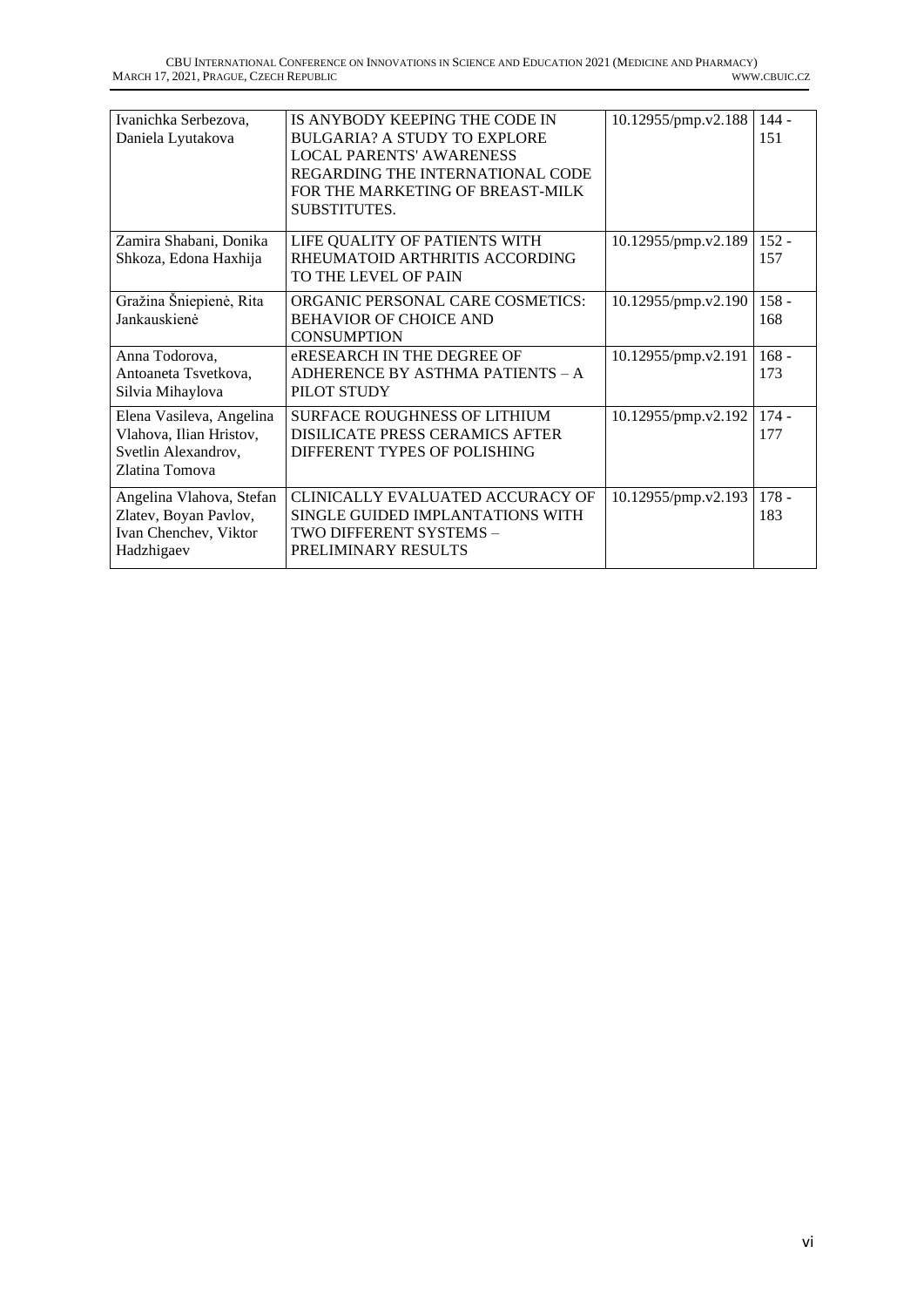| Ivanichka Serbezova,<br>Daniela Lyutakova                                                    | IS ANYBODY KEEPING THE CODE IN<br><b>BULGARIA? A STUDY TO EXPLORE</b><br><b>LOCAL PARENTS' AWARENESS</b><br>REGARDING THE INTERNATIONAL CODE<br>FOR THE MARKETING OF BREAST-MILK<br>SUBSTITUTES. | 10.12955/pmp.v2.188 | $144 -$<br>151 |
|----------------------------------------------------------------------------------------------|--------------------------------------------------------------------------------------------------------------------------------------------------------------------------------------------------|---------------------|----------------|
| Zamira Shabani, Donika<br>Shkoza, Edona Haxhija                                              | LIFE QUALITY OF PATIENTS WITH<br>RHEUMATOID ARTHRITIS ACCORDING<br>TO THE LEVEL OF PAIN                                                                                                          | 10.12955/pmp.v2.189 | $152 -$<br>157 |
| Gražina Šniepienė, Rita<br>Jankauskienė                                                      | ORGANIC PERSONAL CARE COSMETICS:<br><b>BEHAVIOR OF CHOICE AND</b><br><b>CONSUMPTION</b>                                                                                                          | 10.12955/pmp.v2.190 | $158 -$<br>168 |
| Anna Todorova,<br>Antoaneta Tsvetkova,<br>Silvia Mihaylova                                   | eRESEARCH IN THE DEGREE OF<br>ADHERENCE BY ASTHMA PATIENTS - A<br>PILOT STUDY                                                                                                                    | 10.12955/pmp.v2.191 | $168 -$<br>173 |
| Elena Vasileva, Angelina<br>Vlahova, Ilian Hristov,<br>Svetlin Alexandrov,<br>Zlatina Tomova | <b>SURFACE ROUGHNESS OF LITHIUM</b><br><b>DISILICATE PRESS CERAMICS AFTER</b><br>DIFFERENT TYPES OF POLISHING                                                                                    | 10.12955/pmp.v2.192 | $174 -$<br>177 |
| Angelina Vlahova, Stefan<br>Zlatev, Boyan Pavlov,<br>Ivan Chenchev, Viktor<br>Hadzhigaev     | CLINICALLY EVALUATED ACCURACY OF<br>SINGLE GUIDED IMPLANTATIONS WITH<br>TWO DIFFERENT SYSTEMS –<br>PRELIMINARY RESULTS                                                                           | 10.12955/pmp.v2.193 | $178 -$<br>183 |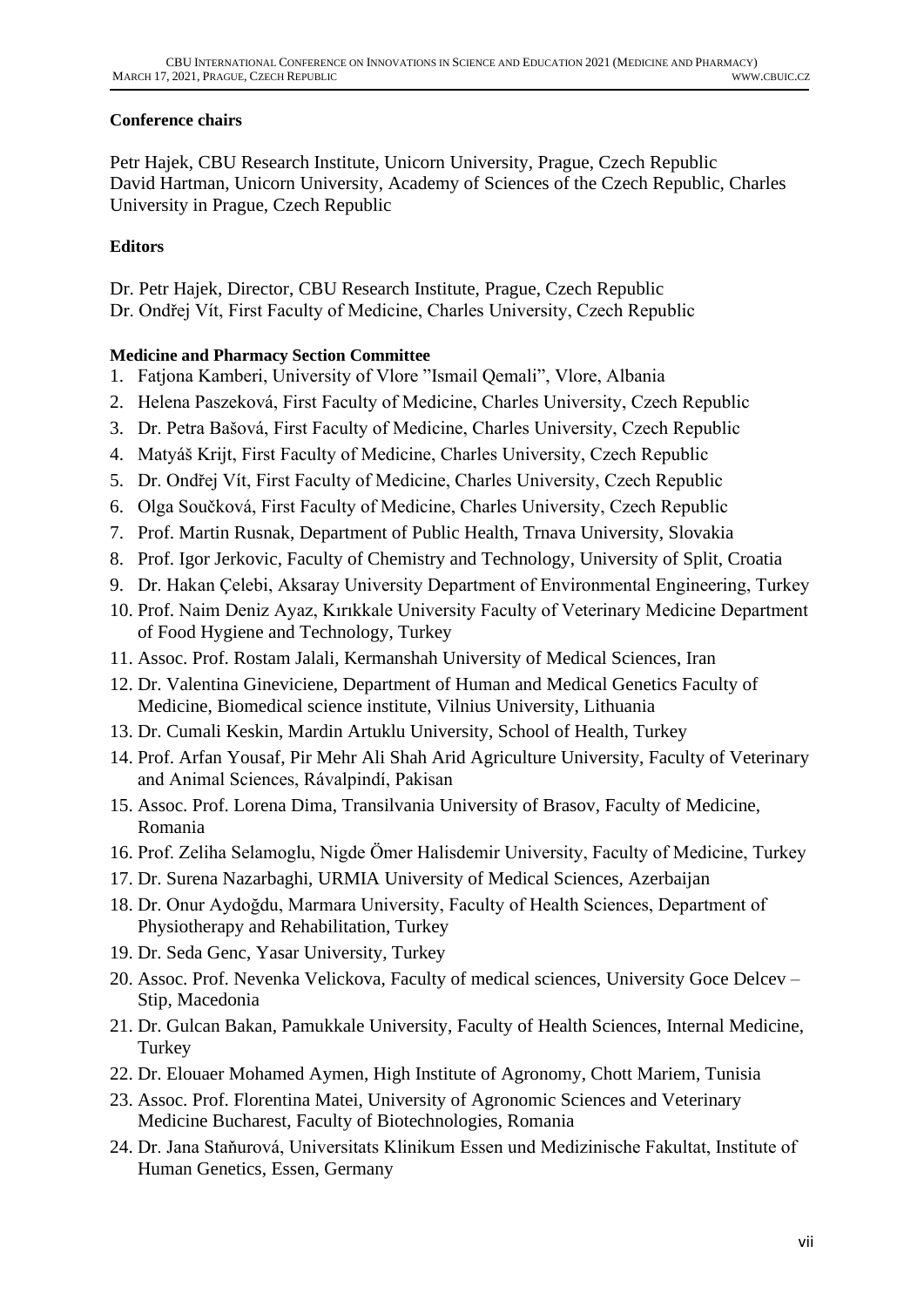## <span id="page-6-0"></span>**Conference chairs**

Petr Hajek, CBU Research Institute, Unicorn University, Prague, Czech Republic David Hartman, Unicorn University, Academy of Sciences of the Czech Republic, Charles University in Prague, Czech Republic

## <span id="page-6-1"></span>**Editors**

Dr. Petr Hajek, Director, CBU Research Institute, Prague, Czech Republic Dr. Ondřej Vít, First Faculty of Medicine, Charles University, Czech Republic

# <span id="page-6-2"></span>**Medicine and Pharmacy Section Committee**

- 1. Fatjona Kamberi, University of Vlore "Ismail Qemali", Vlore, Albania
- 2. Helena Paszeková, First Faculty of Medicine, Charles University, Czech Republic
- 3. Dr. Petra Bašová, First Faculty of Medicine, Charles University, Czech Republic
- 4. Matyáš Krijt, First Faculty of Medicine, Charles University, Czech Republic
- 5. Dr. Ondřej Vít, First Faculty of Medicine, Charles University, Czech Republic
- 6. Olga Součková, First Faculty of Medicine, Charles University, Czech Republic
- 7. Prof. Martin Rusnak, Department of Public Health, Trnava University, Slovakia
- 8. Prof. Igor Jerkovic, Faculty of Chemistry and Technology, University of Split, Croatia
- 9. Dr. Hakan Çelebi, Aksaray University Department of Environmental Engineering, Turkey
- 10. Prof. Naim Deniz Ayaz, Kırıkkale University Faculty of Veterinary Medicine Department of Food Hygiene and Technology, Turkey
- 11. Assoc. Prof. Rostam Jalali, Kermanshah University of Medical Sciences, Iran
- 12. Dr. Valentina Gineviciene, Department of Human and Medical Genetics Faculty of Medicine, Biomedical science institute, Vilnius University, Lithuania
- 13. Dr. Cumali Keskin, Mardin Artuklu University, School of Health, Turkey
- 14. Prof. Arfan Yousaf, Pir Mehr Ali Shah Arid Agriculture University, Faculty of Veterinary and Animal Sciences, Rávalpindí, Pakisan
- 15. Assoc. Prof. Lorena Dima, Transilvania University of Brasov, Faculty of Medicine, Romania
- 16. Prof. Zeliha Selamoglu, Nigde Ömer Halisdemir University, Faculty of Medicine, Turkey
- 17. Dr. Surena Nazarbaghi, URMIA University of Medical Sciences, Azerbaijan
- 18. Dr. Onur Aydoğdu, Marmara University, Faculty of Health Sciences, Department of Physiotherapy and Rehabilitation, Turkey
- 19. Dr. Seda Genc, Yasar University, Turkey
- 20. Assoc. Prof. Nevenka Velickova, Faculty of medical sciences, University Goce Delcev Stip, Macedonia
- 21. Dr. Gulcan Bakan, Pamukkale University, Faculty of Health Sciences, Internal Medicine, **Turkey**
- 22. Dr. Elouaer Mohamed Aymen, High Institute of Agronomy, Chott Mariem, Tunisia
- 23. Assoc. Prof. Florentina Matei, University of Agronomic Sciences and Veterinary Medicine Bucharest, Faculty of Biotechnologies, Romania
- 24. Dr. Jana Staňurová, Universitats Klinikum Essen und Medizinische Fakultat, Institute of Human Genetics, Essen, Germany